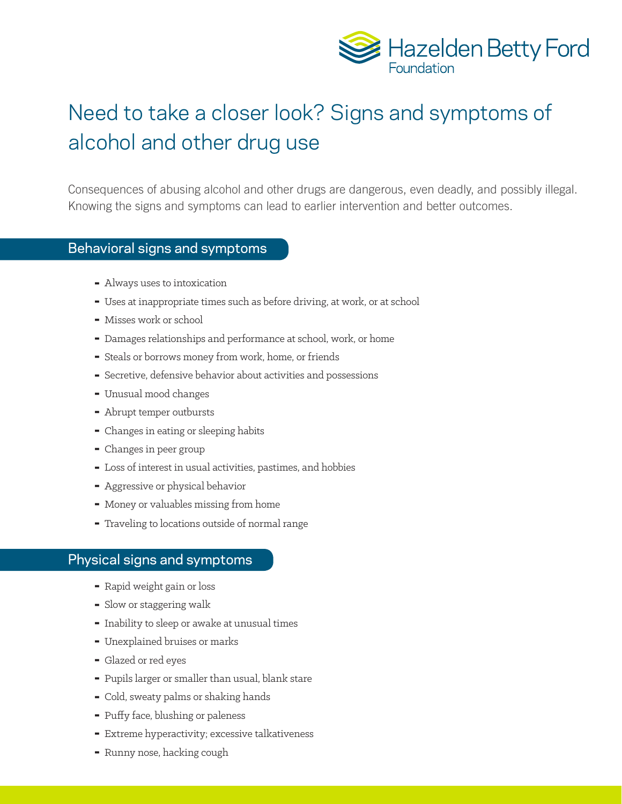

## Need to take a closer look? Signs and symptoms of alcohol and other drug use

Consequences of abusing alcohol and other drugs are dangerous, even deadly, and possibly illegal. Knowing the signs and symptoms can lead to earlier intervention and better outcomes.

## Behavioral signs and symptoms

- $\blacksquare$  Always uses to intoxication
- ▀ Uses at inappropriate times such as before driving, at work, or at school
- ▀ Misses work or school
- $\blacksquare$  Damages relationships and performance at school, work, or home
- ▀ Steals or borrows money from work, home, or friends
- ▀ Secretive, defensive behavior about activities and possessions
- ▀ Unusual mood changes
- Abrupt temper outbursts
- ▀ Changes in eating or sleeping habits
- Changes in peer group
- ▀ Loss of interest in usual activities, pastimes, and hobbies
- ▀ Aggressive or physical behavior
- ▀ Money or valuables missing from home
- ▀ Traveling to locations outside of normal range

## Physical signs and symptoms

- ▀ Rapid weight gain or loss
- ▀ Slow or staggering walk
- $\blacksquare$  Inability to sleep or awake at unusual times
- ▀ Unexplained bruises or marks
- ▀ Glazed or red eyes
- ▀ Pupils larger or smaller than usual, blank stare
- ▀ Cold, sweaty palms or shaking hands
- ▀ Puffy face, blushing or paleness
- **Extreme hyperactivity; excessive talkativeness**
- ▀ Runny nose, hacking cough